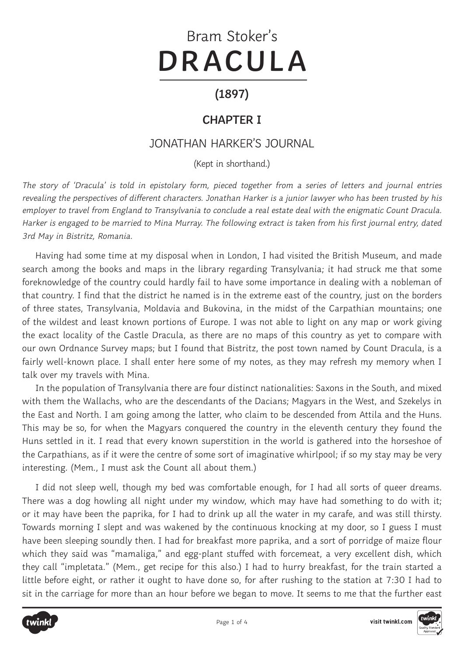# Bram Stoker's **DRACULA**

### **(1897)**

#### **CHAPTER I**

#### JONATHAN HARKER'S JOURNAL

(Kept in shorthand.)

The story of 'Dracula' is told in epistolary form, pieced together from a series of letters and journal entries revealing the perspectives of different characters. Jonathan Harker is a junior lawyer who has been trusted by his employer to travel from England to Transylvania to conclude a real estate deal with the enigmatic Count Dracula. Harker is engaged to be married to Mina Murray. The following extract is taken from his first journal entry, dated 3rd May in Bistritz, Romania.

Having had some time at my disposal when in London, I had visited the British Museum, and made search among the books and maps in the library regarding Transylvania; it had struck me that some foreknowledge of the country could hardly fail to have some importance in dealing with a nobleman of that country. I find that the district he named is in the extreme east of the country, just on the borders of three states, Transylvania, Moldavia and Bukovina, in the midst of the Carpathian mountains; one of the wildest and least known portions of Europe. I was not able to light on any map or work giving the exact locality of the Castle Dracula, as there are no maps of this country as yet to compare with our own Ordnance Survey maps; but I found that Bistritz, the post town named by Count Dracula, is a fairly well-known place. I shall enter here some of my notes, as they may refresh my memory when I talk over my travels with Mina.

In the population of Transylvania there are four distinct nationalities: Saxons in the South, and mixed with them the Wallachs, who are the descendants of the Dacians; Magyars in the West, and Szekelys in the East and North. I am going among the latter, who claim to be descended from Attila and the Huns. This may be so, for when the Magyars conquered the country in the eleventh century they found the Huns settled in it. I read that every known superstition in the world is gathered into the horseshoe of the Carpathians, as if it were the centre of some sort of imaginative whirlpool; if so my stay may be very interesting. (Mem., I must ask the Count all about them.)

I did not sleep well, though my bed was comfortable enough, for I had all sorts of queer dreams. There was a dog howling all night under my window, which may have had something to do with it; or it may have been the paprika, for I had to drink up all the water in my carafe, and was still thirsty. Towards morning I slept and was wakened by the continuous knocking at my door, so I guess I must have been sleeping soundly then. I had for breakfast more paprika, and a sort of porridge of maize flour which they said was "mamaliga," and egg-plant stuffed with forcemeat, a very excellent dish, which they call "impletata." (Mem., get recipe for this also.) I had to hurry breakfast, for the train started a little before eight, or rather it ought to have done so, for after rushing to the station at 7:30 I had to sit in the carriage for more than an hour before we began to move. It seems to me that the further east



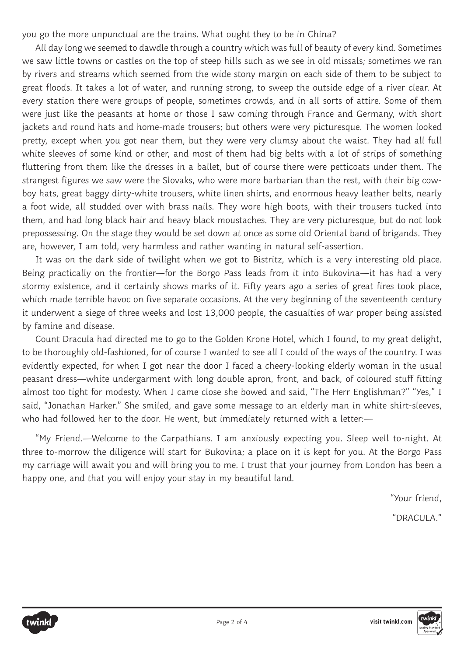you go the more unpunctual are the trains. What ought they to be in China?

All day long we seemed to dawdle through a country which was full of beauty of every kind. Sometimes we saw little towns or castles on the top of steep hills such as we see in old missals; sometimes we ran by rivers and streams which seemed from the wide stony margin on each side of them to be subject to great floods. It takes a lot of water, and running strong, to sweep the outside edge of a river clear. At every station there were groups of people, sometimes crowds, and in all sorts of attire. Some of them were just like the peasants at home or those I saw coming through France and Germany, with short jackets and round hats and home-made trousers; but others were very picturesque. The women looked pretty, except when you got near them, but they were very clumsy about the waist. They had all full white sleeves of some kind or other, and most of them had big belts with a lot of strips of something fluttering from them like the dresses in a ballet, but of course there were petticoats under them. The strangest figures we saw were the Slovaks, who were more barbarian than the rest, with their big cowboy hats, great baggy dirty-white trousers, white linen shirts, and enormous heavy leather belts, nearly a foot wide, all studded over with brass nails. They wore high boots, with their trousers tucked into them, and had long black hair and heavy black moustaches. They are very picturesque, but do not look prepossessing. On the stage they would be set down at once as some old Oriental band of brigands. They are, however, I am told, very harmless and rather wanting in natural self-assertion.

It was on the dark side of twilight when we got to Bistritz, which is a very interesting old place. Being practically on the frontier—for the Borgo Pass leads from it into Bukovina—it has had a very stormy existence, and it certainly shows marks of it. Fifty years ago a series of great fires took place, which made terrible havoc on five separate occasions. At the very beginning of the seventeenth century it underwent a siege of three weeks and lost 13,000 people, the casualties of war proper being assisted by famine and disease.

Count Dracula had directed me to go to the Golden Krone Hotel, which I found, to my great delight, to be thoroughly old-fashioned, for of course I wanted to see all I could of the ways of the country. I was evidently expected, for when I got near the door I faced a cheery-looking elderly woman in the usual peasant dress—white undergarment with long double apron, front, and back, of coloured stuff fitting almost too tight for modesty. When I came close she bowed and said, "The Herr Englishman?" "Yes," I said, "Jonathan Harker." She smiled, and gave some message to an elderly man in white shirt-sleeves, who had followed her to the door. He went, but immediately returned with a letter:-

"My Friend.—Welcome to the Carpathians. I am anxiously expecting you. Sleep well to-night. At three to-morrow the diligence will start for Bukovina; a place on it is kept for you. At the Borgo Pass my carriage will await you and will bring you to me. I trust that your journey from London has been a happy one, and that you will enjoy your stay in my beautiful land.

"Your friend,

"DRACULA."



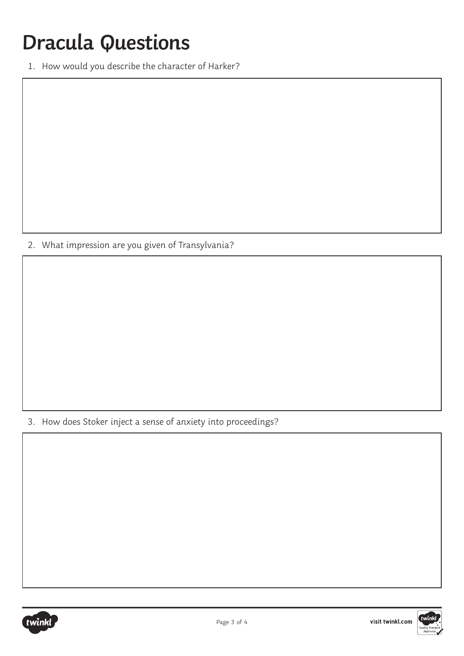## **Dracula Questions**

1. How would you describe the character of Harker?

2. What impression are you given of Transylvania?

3. How does Stoker inject a sense of anxiety into proceedings?